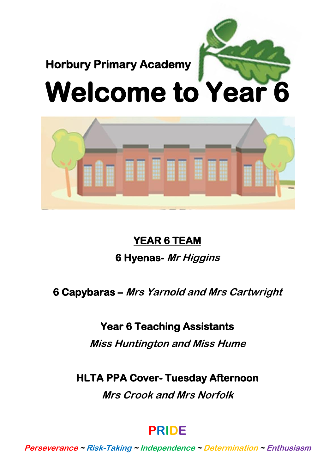



# **YEAR 6 TEAM**

# **6 Hyenas- Mr Higgins**

# **6 Capybaras – Mrs Yarnold and Mrs Cartwright**

# **Year 6 Teaching Assistants**

**Miss Huntington and Miss Hume**

**HLTA PPA Cover- Tuesday Afternoon** 

**Mrs Crook and Mrs Norfolk**

# **PRIDE**

**Perseverance <sup>~</sup> Risk-Taking <sup>~</sup> Independence ~ Determination ~ Enthusiasm**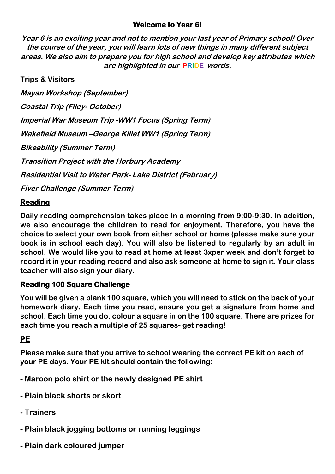## **Welcome to Year 6!**

**Year 6 is an exciting year and not to mention your last year of Primary school! Over the course of the year, you will learn lots of new things in many different subject areas. We also aim to prepare you for high school and develop key attributes which are highlighted in our PRIDE words.**

## **Trips & Visitors**

**Mayan Workshop (September) Coastal Trip (Filey- October) Imperial War Museum Trip -WW1 Focus (Spring Term) Wakefield Museum –George Killet WW1 (Spring Term) Bikeability (Summer Term) Transition Project with the Horbury Academy Residential Visit to Water Park- Lake District (February) Fiver Challenge (Summer Term)**

**Reading** 

**Daily reading comprehension takes place in a morning from 9:00-9:30. In addition, we also encourage the children to read for enjoyment. Therefore, you have the choice to select your own book from either school or home (please make sure your book is in school each day). You will also be listened to regularly by an adult in school. We would like you to read at home at least 3xper week and don't forget to record it in your reading record and also ask someone at home to sign it. Your class teacher will also sign your diary.**

## **Reading 100 Square Challenge**

**You will be given a blank 100 square, which you will need to stick on the back of your homework diary. Each time you read, ensure you get a signature from home and school. Each time you do, colour a square in on the 100 square. There are prizes for each time you reach a multiple of 25 squares- get reading!**

## **PE**

**Please make sure that you arrive to school wearing the correct PE kit on each of your PE days. Your PE kit should contain the following:**

- **- Maroon polo shirt or the newly designed PE shirt**
- **- Plain black shorts or skort**
- **- Trainers**
- **- Plain black jogging bottoms or running leggings**
- **- Plain dark coloured jumper**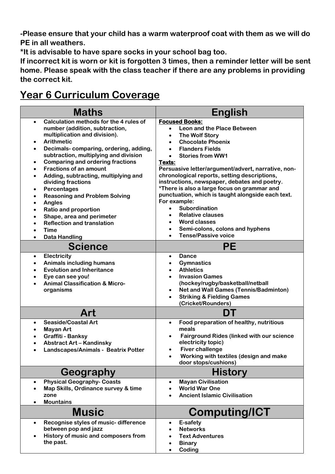**-Please ensure that your child has a warm waterproof coat with them as we will do PE in all weathers.**

**\*It is advisable to have spare socks in your school bag too.**

**If incorrect kit is worn or kit is forgotten 3 times, then a reminder letter will be sent home. Please speak with the class teacher if there are any problems in providing the correct kit.**

# **Year 6 Curriculum Coverage**

| <b>Maths</b>                                                                                                                                                                                                                                                                                                                                                                                                                                                                                                                                                                                                                                                                                                        | <b>English</b>                                                                                                                                                                                                                                                                                                                                                                                                                                                                                                                                                                                                                                           |
|---------------------------------------------------------------------------------------------------------------------------------------------------------------------------------------------------------------------------------------------------------------------------------------------------------------------------------------------------------------------------------------------------------------------------------------------------------------------------------------------------------------------------------------------------------------------------------------------------------------------------------------------------------------------------------------------------------------------|----------------------------------------------------------------------------------------------------------------------------------------------------------------------------------------------------------------------------------------------------------------------------------------------------------------------------------------------------------------------------------------------------------------------------------------------------------------------------------------------------------------------------------------------------------------------------------------------------------------------------------------------------------|
| Calculation methods for the 4 rules of<br>$\bullet$<br>number (addition, subtraction,<br>multiplication and division).<br><b>Arithmetic</b><br>$\bullet$<br>Decimals-comparing, ordering, adding,<br>$\bullet$<br>subtraction, multiplying and division<br><b>Comparing and ordering fractions</b><br>$\bullet$<br><b>Fractions of an amount</b><br>$\bullet$<br>Adding, subtracting, multiplying and<br>$\bullet$<br>dividing fractions<br>Percentages<br>$\bullet$<br><b>Reasoning and Problem Solving</b><br>$\bullet$<br><b>Angles</b><br>$\bullet$<br><b>Ratio and proportion</b><br>$\bullet$<br>Shape, area and perimeter<br>٠<br><b>Reflection and translation</b><br>$\bullet$<br><b>Time</b><br>$\bullet$ | <b>Focused Books:</b><br>Leon and the Place Between<br>$\bullet$<br>The Wolf Story<br>$\bullet$<br><b>Chocolate Phoenix</b><br>$\bullet$<br><b>Flanders Fields</b><br>$\bullet$<br><b>Stories from WW1</b><br>$\bullet$<br>Texts:<br>Persuasive letter/argument/advert, narrative, non-<br>chronological reports, setting descriptions,<br>instructions, newspaper, debates and poetry.<br>*There is also a large focus on grammar and<br>punctuation, which is taught alongside each text.<br>For example:<br>Subordination<br>$\bullet$<br><b>Relative clauses</b><br><b>Word classes</b><br>$\bullet$<br>Semi-colons, colons and hyphens<br>$\bullet$ |
| <b>Data Handling</b><br>$\bullet$<br><b>Science</b>                                                                                                                                                                                                                                                                                                                                                                                                                                                                                                                                                                                                                                                                 | <b>Tense/Passive voice</b><br>PЕ                                                                                                                                                                                                                                                                                                                                                                                                                                                                                                                                                                                                                         |
| Electricity<br>$\bullet$<br><b>Animals including humans</b><br>٠<br><b>Evolution and Inheritance</b><br>٠<br>Eye can see you!<br>٠<br><b>Animal Classification &amp; Micro-</b><br>٠<br>organisms                                                                                                                                                                                                                                                                                                                                                                                                                                                                                                                   | <b>Dance</b><br>$\bullet$<br><b>Gymnastics</b><br><b>Athletics</b><br>$\bullet$<br><b>Invasion Games</b><br>$\bullet$<br>(hockey/rugby/basketball/netball<br><b>Net and Wall Games (Tennis/Badminton)</b><br>$\bullet$<br><b>Striking &amp; Fielding Games</b><br>(Cricket/Rounders)                                                                                                                                                                                                                                                                                                                                                                     |
| Art                                                                                                                                                                                                                                                                                                                                                                                                                                                                                                                                                                                                                                                                                                                 | DT                                                                                                                                                                                                                                                                                                                                                                                                                                                                                                                                                                                                                                                       |
| <b>Seaside/Coastal Art</b><br>$\bullet$<br><b>Mayan Art</b><br>٠<br>Graffiti - Banksy<br>$\bullet$<br><b>Abstract Art - Kandinsky</b><br>٠<br>Landscapes/Animals - Beatrix Potter                                                                                                                                                                                                                                                                                                                                                                                                                                                                                                                                   | Food preparation of healthy, nutritious<br>$\bullet$<br>meals<br><b>Fairground Rides (linked with our science</b><br>electricity topic)<br><b>Fiver challenge</b><br>$\bullet$<br>Working with textiles (design and make<br>door stops/cushions)                                                                                                                                                                                                                                                                                                                                                                                                         |
| Geography                                                                                                                                                                                                                                                                                                                                                                                                                                                                                                                                                                                                                                                                                                           | <b>History</b>                                                                                                                                                                                                                                                                                                                                                                                                                                                                                                                                                                                                                                           |
| <b>Physical Geography- Coasts</b><br>$\bullet$<br>Map Skills, Ordinance survey & time<br>٠<br>zone<br><b>Mountains</b><br>$\bullet$                                                                                                                                                                                                                                                                                                                                                                                                                                                                                                                                                                                 | <b>Mayan Civilisation</b><br>$\bullet$<br><b>World War One</b><br>$\bullet$<br><b>Ancient Islamic Civilisation</b>                                                                                                                                                                                                                                                                                                                                                                                                                                                                                                                                       |
| <b>Music</b>                                                                                                                                                                                                                                                                                                                                                                                                                                                                                                                                                                                                                                                                                                        | <b>Computing/ICT</b>                                                                                                                                                                                                                                                                                                                                                                                                                                                                                                                                                                                                                                     |
| Recognise styles of music-difference<br>$\bullet$<br>between pop and jazz<br>History of music and composers from<br>$\bullet$<br>the past.                                                                                                                                                                                                                                                                                                                                                                                                                                                                                                                                                                          | E-safety<br>$\bullet$<br><b>Networks</b><br>$\bullet$<br><b>Text Adventures</b><br>$\bullet$<br><b>Binary</b><br>$\bullet$<br>Coding<br>$\bullet$                                                                                                                                                                                                                                                                                                                                                                                                                                                                                                        |